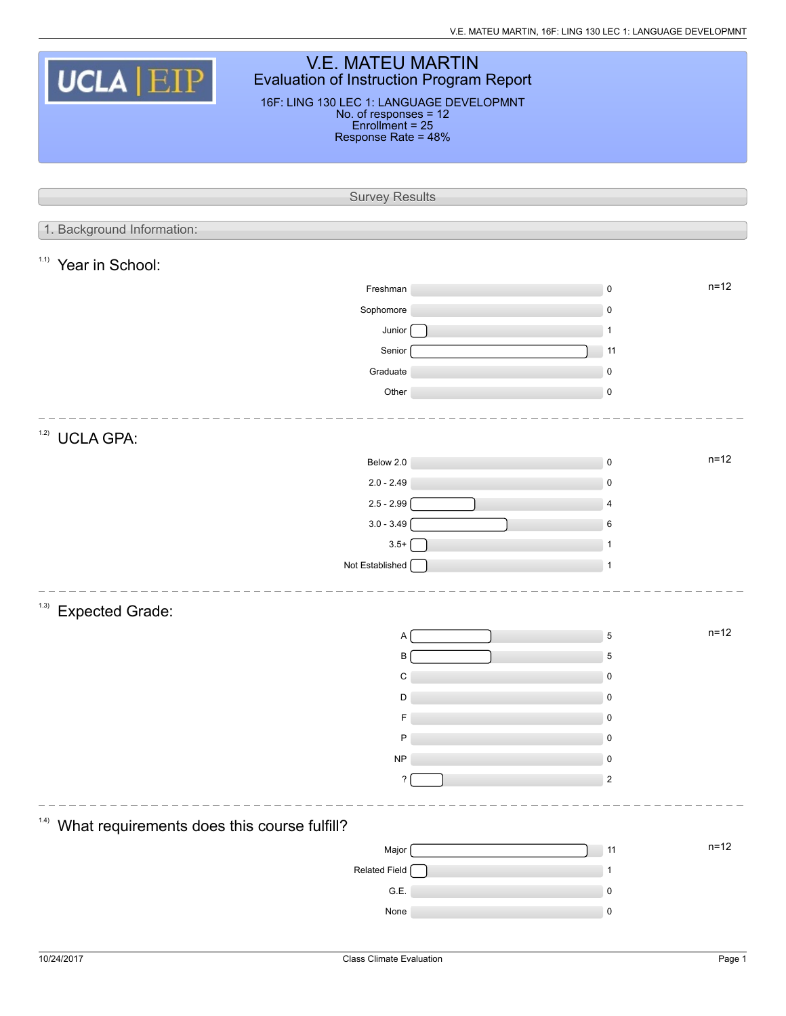V.E. MATEU MARTIN, 16F: LING 130 LEC 1: LANGUAGE DEVELOPMNT

|                                                             | <b>V.E. MATEU MARTIN</b>                                        |                |          |  |  |  |  |
|-------------------------------------------------------------|-----------------------------------------------------------------|----------------|----------|--|--|--|--|
| UCLA EIP<br><b>Evaluation of Instruction Program Report</b> |                                                                 |                |          |  |  |  |  |
|                                                             | 16F: LING 130 LEC 1: LANGUAGE DEVELOPMNT                        |                |          |  |  |  |  |
|                                                             | No. of responses = 12<br>Enrollment = 25<br>Response Rate = 48% |                |          |  |  |  |  |
|                                                             |                                                                 |                |          |  |  |  |  |
|                                                             |                                                                 |                |          |  |  |  |  |
|                                                             | <b>Survey Results</b>                                           |                |          |  |  |  |  |
|                                                             |                                                                 |                |          |  |  |  |  |
| 1. Background Information:                                  |                                                                 |                |          |  |  |  |  |
| 1.1)<br>Year in School:                                     |                                                                 |                |          |  |  |  |  |
|                                                             | Freshman                                                        | $\mathsf 0$    | $n = 12$ |  |  |  |  |
|                                                             | Sophomore                                                       | $\mathsf 0$    |          |  |  |  |  |
|                                                             | Junior                                                          | $\mathbf{1}$   |          |  |  |  |  |
|                                                             | Senior                                                          | 11             |          |  |  |  |  |
|                                                             | Graduate                                                        | $\mathsf 0$    |          |  |  |  |  |
|                                                             | Other                                                           | $\mathsf 0$    |          |  |  |  |  |
|                                                             |                                                                 |                |          |  |  |  |  |
| 1.2)<br><b>UCLA GPA:</b>                                    |                                                                 |                |          |  |  |  |  |
|                                                             | Below 2.0                                                       | $\mathsf 0$    | $n = 12$ |  |  |  |  |
|                                                             | $2.0 - 2.49$                                                    | $\mathsf 0$    |          |  |  |  |  |
|                                                             | $2.5 - 2.99$                                                    | 4              |          |  |  |  |  |
|                                                             | $3.0 - 3.49$                                                    | 6              |          |  |  |  |  |
|                                                             | $3.5+$                                                          | 1              |          |  |  |  |  |
|                                                             | Not Established                                                 | $\mathbf{1}$   |          |  |  |  |  |
|                                                             |                                                                 |                |          |  |  |  |  |
| (1.3)<br><b>Expected Grade:</b>                             |                                                                 |                |          |  |  |  |  |
|                                                             | А                                                               | $\mathbf 5$    | $n=12$   |  |  |  |  |
|                                                             | В                                                               | 5              |          |  |  |  |  |
|                                                             | C                                                               | 0              |          |  |  |  |  |
|                                                             | D                                                               | $\mathsf 0$    |          |  |  |  |  |
|                                                             |                                                                 | $\mathbf 0$    |          |  |  |  |  |
|                                                             | P                                                               | 0              |          |  |  |  |  |
|                                                             | <b>NP</b>                                                       | $\pmb{0}$      |          |  |  |  |  |
|                                                             | ?                                                               | $\overline{2}$ |          |  |  |  |  |
|                                                             |                                                                 |                |          |  |  |  |  |
| (1.4)<br>What requirements does this course fulfill?        |                                                                 |                |          |  |  |  |  |
|                                                             | Major                                                           | 11             | $n=12$   |  |  |  |  |
|                                                             | Related Field                                                   | 1              |          |  |  |  |  |
|                                                             | G.E.                                                            | 0              |          |  |  |  |  |
|                                                             | None                                                            | $\pmb{0}$      |          |  |  |  |  |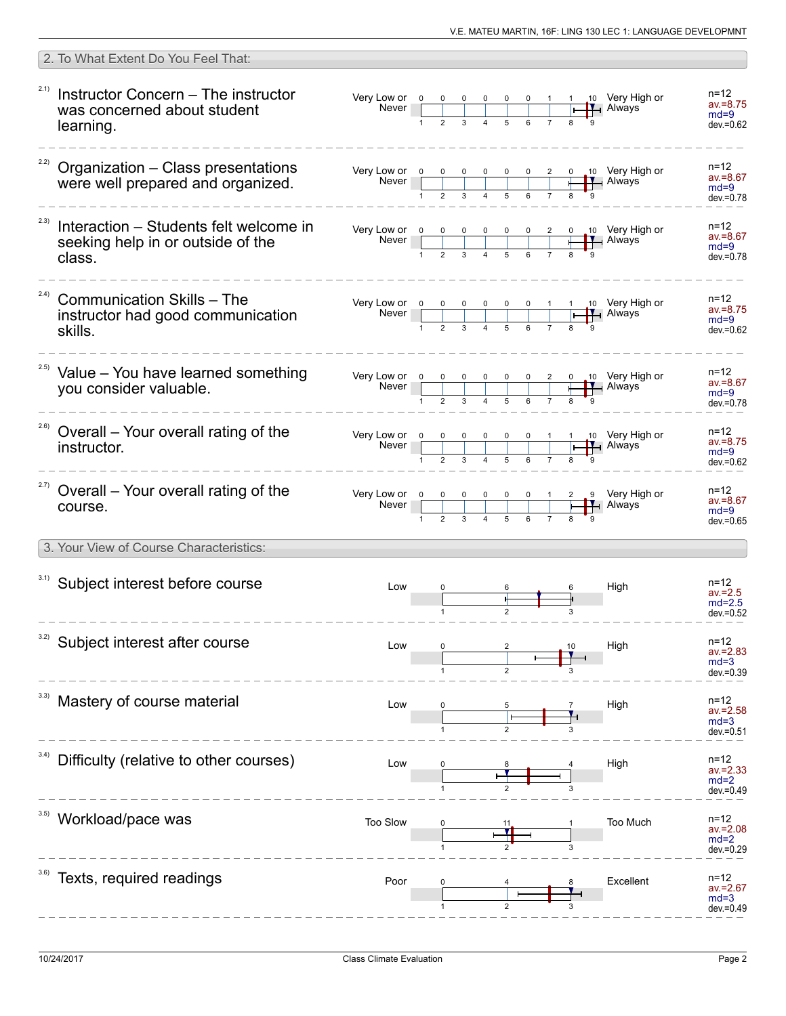| 2. To What Extent Do You Feel That:                                                        |          |  |  |  |                                                                                                                                                                                                          |                                                                       |           |                                                                                                                                                                                                                                                                                                                                                            |
|--------------------------------------------------------------------------------------------|----------|--|--|--|----------------------------------------------------------------------------------------------------------------------------------------------------------------------------------------------------------|-----------------------------------------------------------------------|-----------|------------------------------------------------------------------------------------------------------------------------------------------------------------------------------------------------------------------------------------------------------------------------------------------------------------------------------------------------------------|
| 2.1)<br>Instructor Concern - The instructor<br>was concerned about student<br>learning.    |          |  |  |  |                                                                                                                                                                                                          |                                                                       |           | $n = 12$<br>$av = 8.75$<br>$md=9$<br>$dev = 0.62$                                                                                                                                                                                                                                                                                                          |
| $22)$ Organization - Class presentations<br>were well prepared and organized.              |          |  |  |  |                                                                                                                                                                                                          |                                                                       |           | n=12<br>$av = 8.67$<br>$md=9$<br>$dev = 0.78$                                                                                                                                                                                                                                                                                                              |
| Interaction – Students felt welcome in<br>seeking help in or outside of the<br>class.      |          |  |  |  |                                                                                                                                                                                                          |                                                                       |           | n=12<br>$av = 8.67$<br>$md=9$<br>$dev = 0.78$                                                                                                                                                                                                                                                                                                              |
| (2.4)<br><b>Communication Skills - The</b><br>instructor had good communication<br>skills. |          |  |  |  |                                                                                                                                                                                                          |                                                                       |           | $n = 12$<br>$av = 8.75$<br>$md=9$<br>$dev = 0.62$                                                                                                                                                                                                                                                                                                          |
| <sup>2.5)</sup> Value - You have learned something<br>vou consider valuable.               |          |  |  |  |                                                                                                                                                                                                          |                                                                       |           | n=12<br>$av = 8.67$<br>$md=9$<br>$dev = 0.78$                                                                                                                                                                                                                                                                                                              |
| <sup>2.6)</sup> Overall - Your overall rating of the<br>instructor.                        |          |  |  |  |                                                                                                                                                                                                          |                                                                       |           | n=12<br>$av = 8.75$<br>$md=9$<br>$dev = 0.62$                                                                                                                                                                                                                                                                                                              |
| <sup>2.7)</sup> Overall – Your overall rating of the<br>course.                            |          |  |  |  |                                                                                                                                                                                                          |                                                                       |           | n=12<br>$av = 8.67$<br>$md=9$<br>$dev = 0.65$                                                                                                                                                                                                                                                                                                              |
| 3. Your View of Course Characteristics:                                                    |          |  |  |  |                                                                                                                                                                                                          |                                                                       |           |                                                                                                                                                                                                                                                                                                                                                            |
| 3.1) Subject interest before course                                                        | Low      |  |  |  |                                                                                                                                                                                                          |                                                                       | High      | $n = 12$<br>$av = 2.5$<br>$md=2.5$<br>$dev = 0.52$                                                                                                                                                                                                                                                                                                         |
| Subject interest after course                                                              | Low      |  |  |  |                                                                                                                                                                                                          |                                                                       | High      | n=12<br>$av = 2.83$<br>$md=3$<br>dev.=0.39                                                                                                                                                                                                                                                                                                                 |
| Mastery of course material                                                                 | Low      |  |  |  |                                                                                                                                                                                                          |                                                                       | High      | $n = 12$<br>$av = 2.58$<br>$md=3$<br>dev.=0.51                                                                                                                                                                                                                                                                                                             |
| Difficulty (relative to other courses)                                                     | Low      |  |  |  |                                                                                                                                                                                                          |                                                                       | High      | n=12<br>$av = 2.33$<br>$md=2$<br>$dev = 0.49$                                                                                                                                                                                                                                                                                                              |
| Workload/pace was                                                                          | Too Slow |  |  |  |                                                                                                                                                                                                          |                                                                       | Too Much  | $n = 12$<br>$av = 2.08$<br>$md=2$<br>dev.=0.29                                                                                                                                                                                                                                                                                                             |
| Texts, required readings                                                                   | Poor     |  |  |  |                                                                                                                                                                                                          |                                                                       | Excellent | $n = 12$<br>$av = 2.67$<br>$md=3$<br>dev.=0.49                                                                                                                                                                                                                                                                                                             |
|                                                                                            |          |  |  |  | $\begin{array}{c cccc}\n\hline\n2 & 3 & 4 & 5 & 6 & 7\n\end{array}$<br>Very Low or $\begin{array}{ c c c c c }\n\hline\n0 & 0 & 0 & 0 & 0 & 0 & 1 \\ \hline\n0 & 1 & 2 & 3 & 4 & 5 & 6 & 7\n\end{array}$ | Very Low or $\begin{array}{c cccc} 0 & 0 & 0 & 0 & 0 & 1 \end{array}$ |           | 1 10 Very High or<br><b>HALL</b> Always<br>Very Low or $\begin{array}{ c c c c c c }\n\hline\n0 & 0 & 0 & 0 & 0 & 1 & 1 & 10 \\ \hline\n\end{array}$ Very High or Never<br>Very Low or $\begin{array}{ c c c c c c }\n\hline\n0 & 0 & 0 & 0 & 0 & 2 & 0 & 10 \\ \hline\n\end{array}$ Very High or Never<br>2 9 Very High or<br>$\frac{1}{\sqrt{1}}$ Always |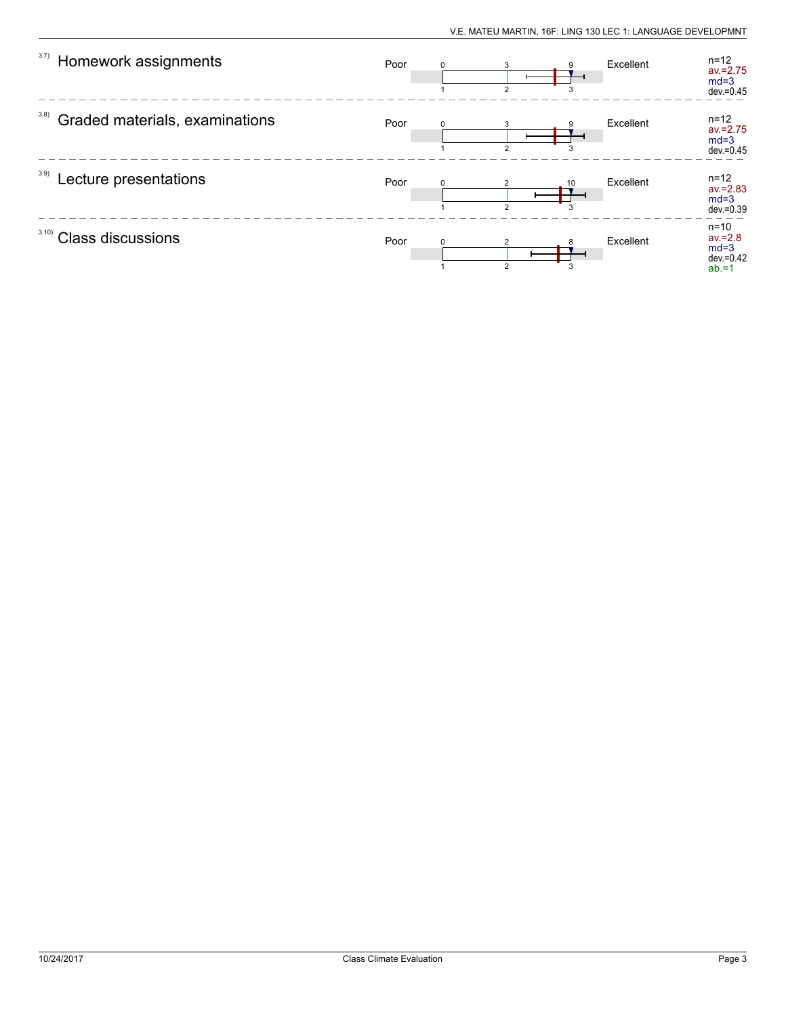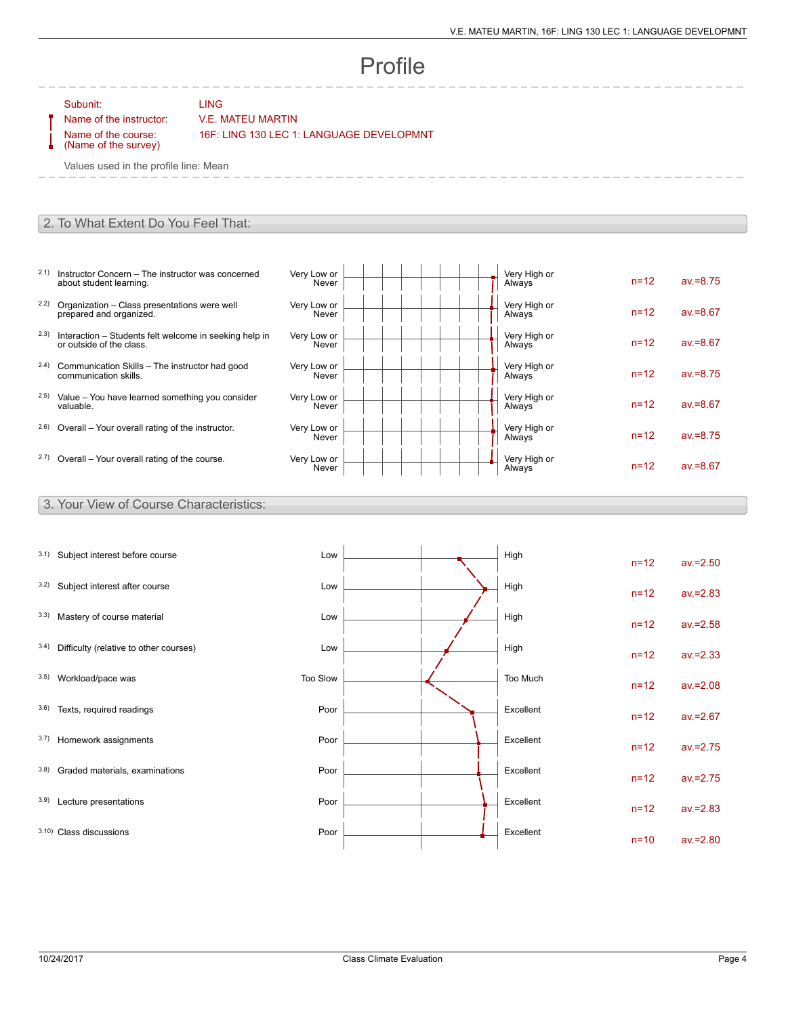# Profile

#### Subunit: LING

Name of the instructor: V.E. MATEU MARTIN

Name of the course: (Name of the survey) 16F: LING 130 LEC 1: LANGUAGE DEVELOPMNT

Values used in the profile line: Mean

#### 2. To What Extent Do You Feel That:

- 2.1) Instructor Concern The instructor was concerned about student learning.
- 2.2) Organization Class presentations were well prepared and organized.
- 2.3) Interaction Students felt welcome in seeking help in or outside of the class.
- 2.4) Communication Skills The instructor had good communication skills.
- 2.5) Value You have learned something you consider valuable.
- $2.6$ ) Overall Your overall rating of the instructor.
- $2.7)$  Overall Your overall rating of the course.

| Very Low or<br>Never | Very High or<br>Always | $n = 12$ | $av = 8.75$ |
|----------------------|------------------------|----------|-------------|
| Very Low or<br>Never | Very High or<br>Always | $n = 12$ | $av = 8.67$ |
| Very Low or<br>Never | Very High or<br>Always | $n = 12$ | $av = 8.67$ |
| Very Low or<br>Never | Very High or<br>Always | $n = 12$ | $av = 8.75$ |
| Very Low or<br>Never | Very High or<br>Always | $n = 12$ | $av = 8.67$ |
| Very Low or<br>Never | Very High or<br>Always | $n = 12$ | $av = 8.75$ |
| Very Low or<br>Never | Very High or<br>Always | $n = 12$ | $av = 8.67$ |

### 3. Your View of Course Characteristics:

| 3.1) | Subject interest before course         | Low      |  | High      | $n = 12$ | $av = 2.50$ |
|------|----------------------------------------|----------|--|-----------|----------|-------------|
| 3.2) | Subject interest after course          | Low      |  | High      | $n=12$   | $av = 2.83$ |
| 3.3) | Mastery of course material             | Low      |  | High      | $n=12$   | $av = 2.58$ |
| 3.4) | Difficulty (relative to other courses) | Low      |  | High      | $n=12$   | $av = 2.33$ |
| 3.5) | Workload/pace was                      | Too Slow |  | Too Much  | $n=12$   | $av = 2.08$ |
| 3.6) | Texts, required readings               | Poor     |  | Excellent | $n = 12$ | $av = 2.67$ |
| 3.7) | Homework assignments                   | Poor     |  | Excellent | $n=12$   | $av = 2.75$ |
| 3.8) | Graded materials, examinations         | Poor     |  | Excellent | $n=12$   | $av = 2.75$ |
| 3.9) | Lecture presentations                  | Poor     |  | Excellent | $n=12$   | $av = 2.83$ |
|      | 3.10) Class discussions                | Poor     |  | Excellent | $n=10$   | $av = 2.80$ |